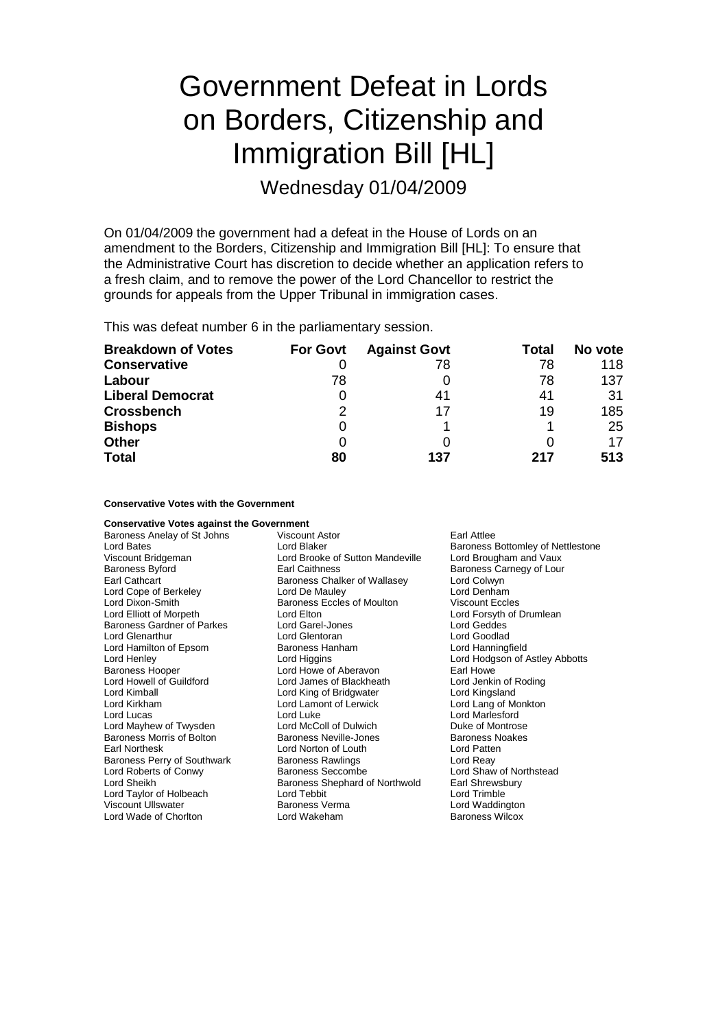# Government Defeat in Lords on Borders, Citizenship and Immigration Bill [HL]

Wednesday 01/04/2009

On 01/04/2009 the government had a defeat in the House of Lords on an amendment to the Borders, Citizenship and Immigration Bill [HL]: To ensure that the Administrative Court has discretion to decide whether an application refers to a fresh claim, and to remove the power of the Lord Chancellor to restrict the grounds for appeals from the Upper Tribunal in immigration cases.

This was defeat number 6 in the parliamentary session.

| <b>Breakdown of Votes</b> | <b>For Govt</b> | <b>Against Govt</b> | Total | No vote |
|---------------------------|-----------------|---------------------|-------|---------|
| <b>Conservative</b>       |                 | 78                  | 78    | 118     |
| Labour                    | 78              |                     | 78    | 137     |
| <b>Liberal Democrat</b>   | 0               | 41                  | 41    | 31      |
| <b>Crossbench</b>         | 2               | 17                  | 19    | 185     |
| <b>Bishops</b>            | 0               |                     |       | 25      |
| <b>Other</b>              |                 |                     |       | 17      |
| <b>Total</b>              | 80              | 137                 | 217   | 513     |

# **Conservative Votes with the Government**

| <b>Conservative Votes against the Government</b>     |                                                                                                                                                                |  |
|------------------------------------------------------|----------------------------------------------------------------------------------------------------------------------------------------------------------------|--|
| Earl Attlee<br>Viscount Astor                        |                                                                                                                                                                |  |
| Lord Blaker                                          | Baroness Bottomley of Nettlestone                                                                                                                              |  |
| Lord Brooke of Sutton Mandeville                     | Lord Brougham and Vaux                                                                                                                                         |  |
| Earl Caithness                                       | Baroness Carnegy of Lour                                                                                                                                       |  |
| Baroness Chalker of Wallasey                         | Lord Colwyn                                                                                                                                                    |  |
| Lord Denham<br>Lord De Mauley                        |                                                                                                                                                                |  |
| <b>Viscount Eccles</b><br>Baroness Eccles of Moulton |                                                                                                                                                                |  |
| Lord Elton                                           | Lord Forsyth of Drumlean                                                                                                                                       |  |
| Lord Garel-Jones                                     | Lord Geddes                                                                                                                                                    |  |
| Lord Glentoran                                       | Lord Goodlad                                                                                                                                                   |  |
| Baroness Hanham                                      | Lord Hanningfield                                                                                                                                              |  |
| Lord Higgins                                         | Lord Hodgson of Astley Abbotts                                                                                                                                 |  |
| Lord Howe of Aberavon                                | Earl Howe                                                                                                                                                      |  |
| Lord James of Blackheath                             | Lord Jenkin of Roding                                                                                                                                          |  |
| Lord King of Bridgwater                              | Lord Kingsland                                                                                                                                                 |  |
|                                                      | Lord Lang of Monkton                                                                                                                                           |  |
| Lord Luke                                            | Lord Marlesford                                                                                                                                                |  |
|                                                      | Duke of Montrose                                                                                                                                               |  |
|                                                      | <b>Baroness Noakes</b>                                                                                                                                         |  |
| Lord Norton of Louth                                 | Lord Patten                                                                                                                                                    |  |
| <b>Baroness Rawlings</b>                             | Lord Reay                                                                                                                                                      |  |
|                                                      | Lord Shaw of Northstead                                                                                                                                        |  |
|                                                      | Earl Shrewsbury                                                                                                                                                |  |
|                                                      | Lord Trimble                                                                                                                                                   |  |
| Baroness Verma                                       | Lord Waddington                                                                                                                                                |  |
| Lord Wakeham                                         | <b>Baroness Wilcox</b>                                                                                                                                         |  |
|                                                      | Lord Lamont of Lerwick<br>Lord McColl of Dulwich<br><b>Baroness Neville-Jones</b><br><b>Baroness Seccombe</b><br>Baroness Shephard of Northwold<br>Lord Tebbit |  |